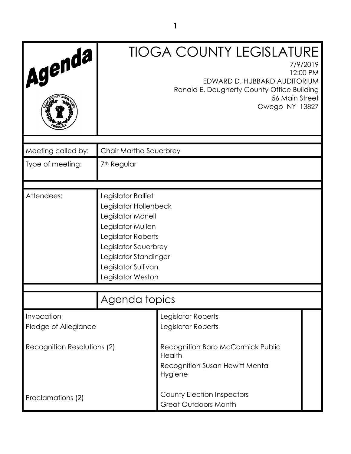| Agenda                             |                                                                                                                                                                                                          | <b>TIOGA COUNTY LEGISLATURE</b><br>7/9/2019<br>12:00 PM<br>EDWARD D. HUBBARD AUDITORIUM<br>Ronald E. Dougherty County Office Building<br>56 Main Street<br>Owego NY 13827 |  |
|------------------------------------|----------------------------------------------------------------------------------------------------------------------------------------------------------------------------------------------------------|---------------------------------------------------------------------------------------------------------------------------------------------------------------------------|--|
| Meeting called by:                 | Chair Martha Sauerbrey                                                                                                                                                                                   |                                                                                                                                                                           |  |
| Type of meeting:                   | 7 <sup>th</sup> Regular                                                                                                                                                                                  |                                                                                                                                                                           |  |
| Attendees:                         | Legislator Balliet<br>Legislator Hollenbeck<br>Legislator Monell<br>Legislator Mullen<br>Legislator Roberts<br>Legislator Sauerbrey<br>Legislator Standinger<br>Legislator Sullivan<br>Legislator Weston |                                                                                                                                                                           |  |
| Agenda topics                      |                                                                                                                                                                                                          |                                                                                                                                                                           |  |
| Invocation<br>Pledge of Allegiance |                                                                                                                                                                                                          | Legislator Roberts<br>Legislator Roberts                                                                                                                                  |  |
| Recognition Resolutions (2)        |                                                                                                                                                                                                          | Recognition Barb McCormick Public<br>Health<br><b>Recognition Susan Hewitt Mental</b><br>Hygiene                                                                          |  |
| Proclamations (2)                  |                                                                                                                                                                                                          | <b>County Election Inspectors</b><br><b>Great Outdoors Month</b>                                                                                                          |  |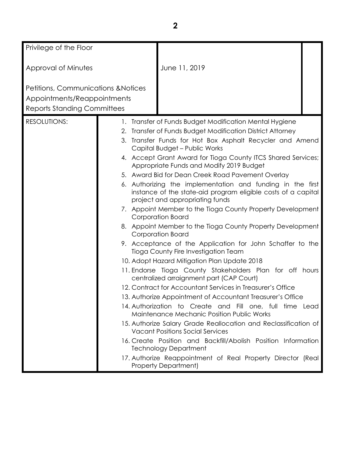| Privilege of the Floor                                                                                   |                                                                                                          |                                                                                                                                                                |  |
|----------------------------------------------------------------------------------------------------------|----------------------------------------------------------------------------------------------------------|----------------------------------------------------------------------------------------------------------------------------------------------------------------|--|
| Approval of Minutes                                                                                      |                                                                                                          | June 11, 2019                                                                                                                                                  |  |
| Petitions, Communications & Notices<br>Appointments/Reappointments<br><b>Reports Standing Committees</b> |                                                                                                          |                                                                                                                                                                |  |
| <b>RESOLUTIONS:</b>                                                                                      | 2.                                                                                                       | 1. Transfer of Funds Budget Modification Mental Hygiene<br>Transfer of Funds Budget Modification District Attorney                                             |  |
|                                                                                                          | 3. Transfer Funds for Hot Box Asphalt Recycler and Amend<br>Capital Budget - Public Works                |                                                                                                                                                                |  |
|                                                                                                          | 4. Accept Grant Award for Tioga County ITCS Shared Services;<br>Appropriate Funds and Modify 2019 Budget |                                                                                                                                                                |  |
|                                                                                                          |                                                                                                          | 5. Award Bid for Dean Creek Road Pavement Overlay                                                                                                              |  |
|                                                                                                          |                                                                                                          | 6. Authorizing the implementation and funding in the first<br>instance of the state-aid program eligible costs of a capital<br>project and appropriating funds |  |
|                                                                                                          |                                                                                                          | 7. Appoint Member to the Tioga County Property Development<br>Corporation Board                                                                                |  |
|                                                                                                          |                                                                                                          | 8. Appoint Member to the Tioga County Property Development<br>Corporation Board                                                                                |  |
|                                                                                                          |                                                                                                          | 9. Acceptance of the Application for John Schaffer to the<br>Tioga County Fire Investigation Team                                                              |  |
|                                                                                                          |                                                                                                          | 10. Adopt Hazard Mitigation Plan Update 2018                                                                                                                   |  |
|                                                                                                          |                                                                                                          | 11. Endorse Tioga County Stakeholders Plan for off hours<br>centralized arraignment part (CAP Court)                                                           |  |
|                                                                                                          |                                                                                                          | 12. Contract for Accountant Services in Treasurer's Office                                                                                                     |  |
|                                                                                                          | 13. Authorize Appointment of Accountant Treasurer's Office                                               |                                                                                                                                                                |  |
|                                                                                                          |                                                                                                          | 14. Authorization to Create and Fill one, full time Lead<br><b>Maintenance Mechanic Position Public Works</b>                                                  |  |
|                                                                                                          |                                                                                                          | 15. Authorize Salary Grade Reallocation and Reclassification of<br><b>Vacant Positions Social Services</b>                                                     |  |
|                                                                                                          |                                                                                                          | 16. Create Position and Backfill/Abolish Position Information<br><b>Technology Department</b>                                                                  |  |
|                                                                                                          |                                                                                                          | 17. Authorize Reappointment of Real Property Director (Real<br><b>Property Department)</b>                                                                     |  |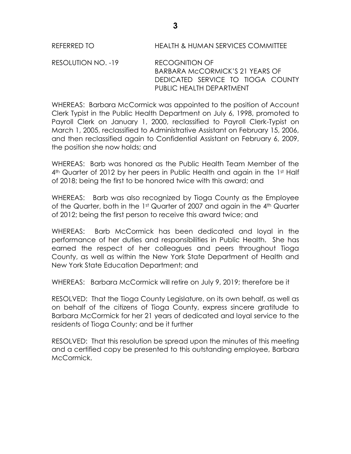REFERRED TO HEALTH & HUMAN SERVICES COMMITTEE

RESOLUTION NO. -19 RECOGNITION OF BARBARA McCORMICK'S 21 YEARS OF DEDICATED SERVICE TO TIOGA COUNTY PUBLIC HEALTH DEPARTMENT

WHEREAS: Barbara McCormick was appointed to the position of Account Clerk Typist in the Public Health Department on July 6, 1998, promoted to Payroll Clerk on January 1, 2000, reclassified to Payroll Clerk-Typist on March 1, 2005, reclassified to Administrative Assistant on February 15, 2006, and then reclassified again to Confidential Assistant on February 6, 2009, the position she now holds; and

WHEREAS: Barb was honored as the Public Health Team Member of the 4<sup>th</sup> Quarter of 2012 by her peers in Public Health and again in the 1st Half of 2018; being the first to be honored twice with this award; and

WHEREAS: Barb was also recognized by Tioga County as the Employee of the Quarter, both in the 1st Quarter of 2007 and again in the 4th Quarter of 2012; being the first person to receive this award twice; and

WHEREAS: Barb McCormick has been dedicated and loyal in the performance of her duties and responsibilities in Public Health. She has earned the respect of her colleagues and peers throughout Tioga County, as well as within the New York State Department of Health and New York State Education Department; and

WHEREAS: Barbara McCormick will retire on July 9, 2019; therefore be it

RESOLVED: That the Tioga County Legislature, on its own behalf, as well as on behalf of the citizens of Tioga County, express sincere gratitude to Barbara McCormick for her 21 years of dedicated and loyal service to the residents of Tioga County; and be it further

RESOLVED: That this resolution be spread upon the minutes of this meeting and a certified copy be presented to this outstanding employee, Barbara McCormick.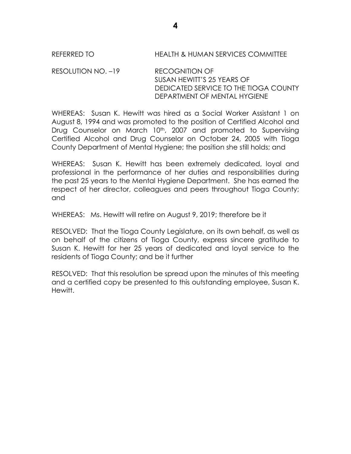### REFERRED TO HEALTH & HUMAN SERVICES COMMITTEE

RESOLUTION NO. –19 RECOGNITION OF SUSAN HEWITT'S 25 YEARS OF DEDICATED SERVICE TO THE TIOGA COUNTY DEPARTMENT OF MENTAL HYGIENE

WHEREAS: Susan K. Hewitt was hired as a Social Worker Assistant 1 on August 8, 1994 and was promoted to the position of Certified Alcohol and Drug Counselor on March 10<sup>th</sup>, 2007 and promoted to Supervising Certified Alcohol and Drug Counselor on October 24, 2005 with Tioga County Department of Mental Hygiene; the position she still holds; and

WHEREAS: Susan K. Hewitt has been extremely dedicated, loyal and professional in the performance of her duties and responsibilities during the past 25 years to the Mental Hygiene Department. She has earned the respect of her director, colleagues and peers throughout Tioga County; and

WHEREAS: Ms. Hewitt will retire on August 9, 2019; therefore be it

RESOLVED: That the Tioga County Legislature, on its own behalf, as well as on behalf of the citizens of Tioga County, express sincere gratitude to Susan K. Hewitt for her 25 years of dedicated and loyal service to the residents of Tioga County; and be it further

RESOLVED: That this resolution be spread upon the minutes of this meeting and a certified copy be presented to this outstanding employee, Susan K. Hewitt.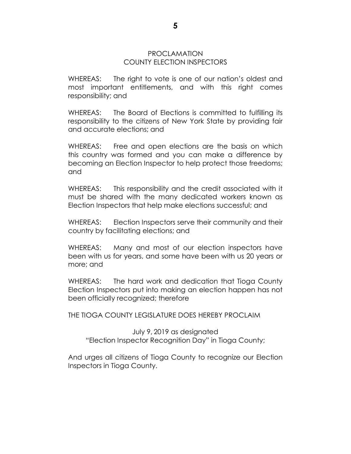### PROCLAMATION COUNTY ELECTION INSPECTORS

WHEREAS: The right to vote is one of our nation's oldest and most important entitlements, and with this right comes responsibility; and

WHEREAS: The Board of Elections is committed to fulfilling its responsibility to the citizens of New York State by providing fair and accurate elections; and

WHEREAS: Free and open elections are the basis on which this country was formed and you can make a difference by becoming an Election Inspector to help protect those freedoms; and

WHEREAS: This responsibility and the credit associated with it must be shared with the many dedicated workers known as Election Inspectors that help make elections successful; and

WHEREAS: Election Inspectors serve their community and their country by facilitating elections; and

WHEREAS: Many and most of our election inspectors have been with us for years, and some have been with us 20 years or more; and

WHEREAS: The hard work and dedication that Tioga County Election Inspectors put into making an election happen has not been officially recognized; therefore

THE TIOGA COUNTY LEGISLATURE DOES HEREBY PROCLAIM

July 9, 2019 as designated "Election Inspector Recognition Day" in Tioga County;

And urges all citizens of Tioga County to recognize our Election Inspectors in Tioga County.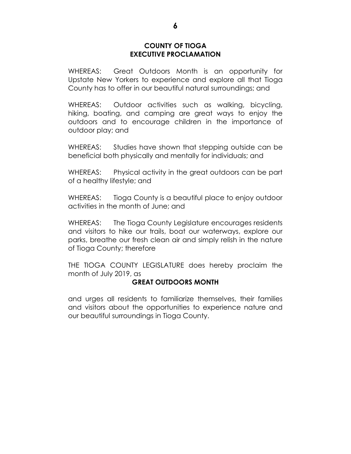### **COUNTY OF TIOGA EXECUTIVE PROCLAMATION**

WHEREAS: Great Outdoors Month is an opportunity for Upstate New Yorkers to experience and explore all that Tioga County has to offer in our beautiful natural surroundings; and

WHEREAS: Outdoor activities such as walking, bicycling, hiking, boating, and camping are great ways to enjoy the outdoors and to encourage children in the importance of outdoor play; and

WHEREAS: Studies have shown that stepping outside can be beneficial both physically and mentally for individuals; and

WHEREAS: Physical activity in the great outdoors can be part of a healthy lifestyle; and

WHEREAS: Tioga County is a beautiful place to enjoy outdoor activities in the month of June; and

WHEREAS: The Tioga County Legislature encourages residents and visitors to hike our trails, boat our waterways, explore our parks, breathe our fresh clean air and simply relish in the nature of Tioga County; therefore

THE TIOGA COUNTY LEGISLATURE does hereby proclaim the month of July 2019, as

## **GREAT OUTDOORS MONTH**

and urges all residents to familiarize themselves, their families and visitors about the opportunities to experience nature and our beautiful surroundings in Tioga County.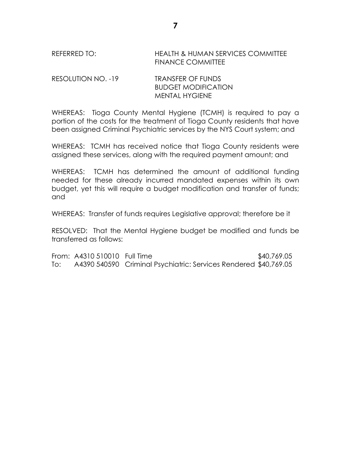## REFERRED TO: HEALTH & HUMAN SERVICES COMMITTEE FINANCE COMMITTEE

RESOLUTION NO. -19 TRANSFER OF FUNDS BUDGET MODIFICATION MENTAL HYGIENE

WHEREAS: Tioga County Mental Hygiene (TCMH) is required to pay a portion of the costs for the treatment of Tioga County residents that have been assigned Criminal Psychiatric services by the NYS Court system; and

WHEREAS: TCMH has received notice that Tioga County residents were assigned these services, along with the required payment amount; and

WHEREAS: TCMH has determined the amount of additional funding needed for these already incurred mandated expenses within its own budget, yet this will require a budget modification and transfer of funds; and

WHEREAS: Transfer of funds requires Legislative approval; therefore be it

RESOLVED: That the Mental Hygiene budget be modified and funds be transferred as follows:

From: A4310 510010 Full Time \$40,769.05 To: A4390 540590 Criminal Psychiatric: Services Rendered \$40,769.05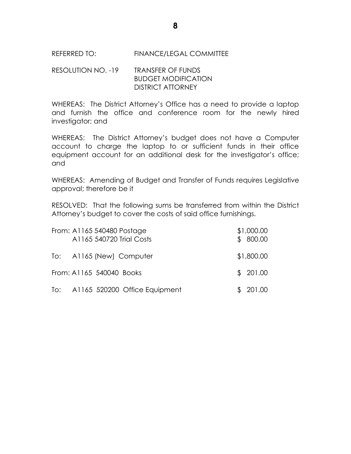REFERRED TO: FINANCE/LEGAL COMMITTEE

# RESOLUTION NO. -19 TRANSFER OF FUNDS BUDGET MODIFICATION DISTRICT ATTORNEY

WHEREAS: The District Attorney's Office has a need to provide a laptop and furnish the office and conference room for the newly hired investigator; and

WHEREAS: The District Attorney's budget does not have a Computer account to charge the laptop to or sufficient funds in their office equipment account for an additional desk for the investigator's office; and

WHEREAS: Amending of Budget and Transfer of Funds requires Legislative approval; therefore be it

RESOLVED: That the following sums be transferred from within the District Attorney's budget to cover the costs of said office furnishings.

| From: A1165 540480 Postage<br>A1165 540720 Trial Costs | \$1,000.00<br>\$800.00 |
|--------------------------------------------------------|------------------------|
| To: A1165 (New) Computer                               | \$1,800.00             |
| From: A1165 540040 Books                               | \$201.00               |
| To: A1165 520200 Office Equipment                      | \$201.00               |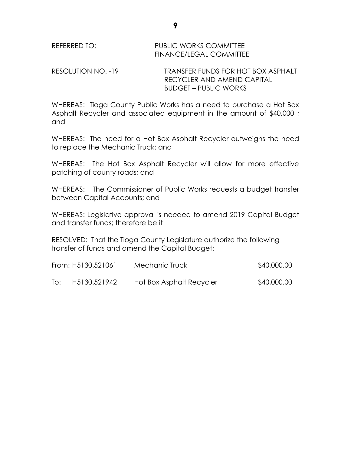RESOLUTION NO. -19 TRANSFER FUNDS FOR HOT BOX ASPHALT RECYCLER AND AMEND CAPITAL BUDGET – PUBLIC WORKS

WHEREAS: Tioga County Public Works has a need to purchase a Hot Box Asphalt Recycler and associated equipment in the amount of \$40,000 ; and

WHEREAS: The need for a Hot Box Asphalt Recycler outweighs the need to replace the Mechanic Truck; and

WHEREAS: The Hot Box Asphalt Recycler will allow for more effective patching of county roads; and

WHEREAS: The Commissioner of Public Works requests a budget transfer between Capital Accounts; and

WHEREAS: Legislative approval is needed to amend 2019 Capital Budget and transfer funds; therefore be it

RESOLVED: That the Tioga County Legislature authorize the following transfer of funds and amend the Capital Budget:

|     | From: H5130.521061 | Mechanic Truck           | \$40,000.00 |
|-----|--------------------|--------------------------|-------------|
| To: | H5130.521942       | Hot Box Asphalt Recycler | \$40,000.00 |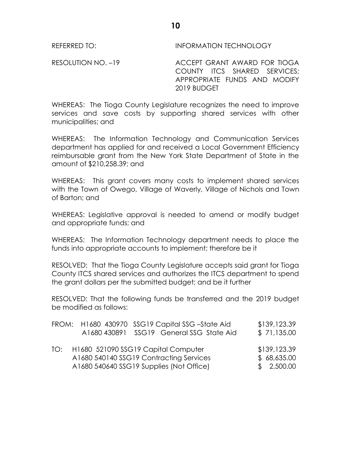REFERRED TO: **INFORMATION TECHNOLOGY** 

RESOLUTION NO. -19 ACCEPT GRANT AWARD FOR TIOGA COUNTY ITCS SHARED SERVICES; APPROPRIATE FUNDS AND MODIFY 2019 BUDGET

WHEREAS: The Tioga County Legislature recognizes the need to improve services and save costs by supporting shared services with other municipalities; and

WHEREAS: The Information Technology and Communication Services department has applied for and received a Local Government Efficiency reimbursable grant from the New York State Department of State in the amount of \$210,258.39; and

WHEREAS: This grant covers many costs to implement shared services with the Town of Owego, Village of Waverly, Village of Nichols and Town of Barton; and

WHEREAS: Legislative approval is needed to amend or modify budget and appropriate funds; and

WHEREAS: The Information Technology department needs to place the funds into appropriate accounts to implement; therefore be it

RESOLVED: That the Tioga County Legislature accepts said grant for Tioga County ITCS shared services and authorizes the ITCS department to spend the grant dollars per the submitted budget; and be it further

RESOLVED: That the following funds be transferred and the 2019 budget be modified as follows:

|     | FROM: H1680 430970 SSG19 Capital SSG-State Aid<br>A1680 430891 SSG19 General SSG State Aid                                 | \$139,123.39<br>\$71,135.00               |
|-----|----------------------------------------------------------------------------------------------------------------------------|-------------------------------------------|
| TO: | H1680 521090 SSG19 Capital Computer<br>A1680 540140 SSG19 Contracting Services<br>A1680 540640 SSG19 Supplies (Not Office) | \$139,123.39<br>\$68,635.00<br>\$2,500.00 |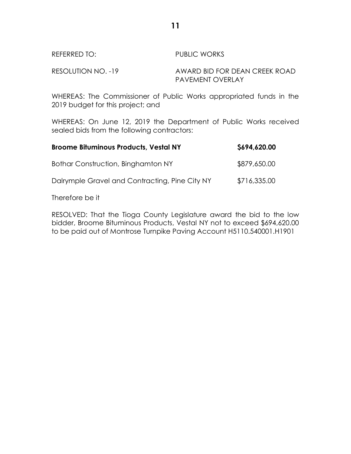# REFERRED TO: PUBLIC WORKS

RESOLUTION NO. -19 AWARD BID FOR DEAN CREEK ROAD PAVEMENT OVERLAY

WHEREAS: The Commissioner of Public Works appropriated funds in the 2019 budget for this project; and

WHEREAS: On June 12, 2019 the Department of Public Works received sealed bids from the following contractors:

| <b>Broome Bituminous Products, Vestal NY</b>   | \$694,620.00 |
|------------------------------------------------|--------------|
| Bothar Construction, Binghamton NY             | \$879,650.00 |
| Dalrymple Gravel and Contracting, Pine City NY | \$716,335.00 |

Therefore be it

RESOLVED: That the Tioga County Legislature award the bid to the low bidder, Broome Bituminous Products, Vestal NY not to exceed \$694,620.00 to be paid out of Montrose Turnpike Paving Account H5110.540001.H1901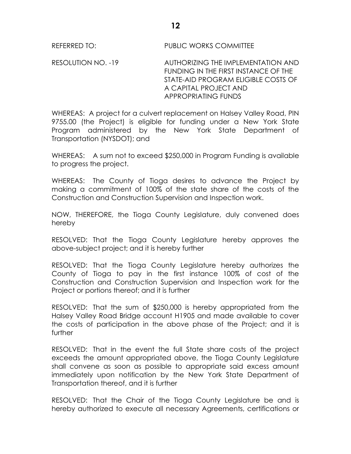REFERRED TO: PUBLIC WORKS COMMITTEE

RESOLUTION NO. -19 AUTHORIZING THE IMPLEMENTATION AND FUNDING IN THE FIRST INSTANCE OF THE STATE-AID PROGRAM ELIGIBLE COSTS OF A CAPITAL PROJECT AND APPROPRIATING FUNDS

WHEREAS: A project for a culvert replacement on Halsey Valley Road, PIN 9755.00 (the Project) is eligible for funding under a New York State Program administered by the New York State Department of Transportation (NYSDOT); and

WHEREAS: A sum not to exceed \$250,000 in Program Funding is available to progress the project.

WHEREAS: The County of Tioga desires to advance the Project by making a commitment of 100% of the state share of the costs of the Construction and Construction Supervision and Inspection work.

NOW, THEREFORE, the Tioga County Legislature, duly convened does hereby

RESOLVED: That the Tioga County Legislature hereby approves the above-subject project; and it is hereby further

RESOLVED: That the Tioga County Legislature hereby authorizes the County of Tioga to pay in the first instance 100% of cost of the Construction and Construction Supervision and Inspection work for the Project or portions thereof; and it is further

RESOLVED: That the sum of \$250,000 is hereby appropriated from the Halsey Valley Road Bridge account H1905 and made available to cover the costs of participation in the above phase of the Project; and it is further

RESOLVED: That in the event the full State share costs of the project exceeds the amount appropriated above, the Tioga County Legislature shall convene as soon as possible to appropriate said excess amount immediately upon notification by the New York State Department of Transportation thereof, and it is further

RESOLVED: That the Chair of the Tioga County Legislature be and is hereby authorized to execute all necessary Agreements, certifications or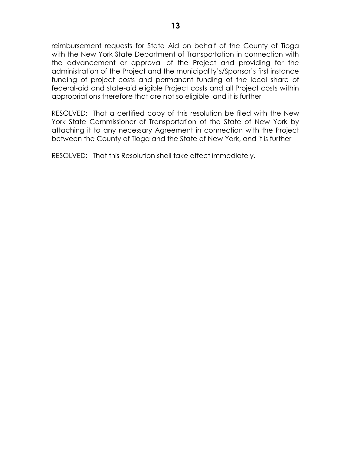reimbursement requests for State Aid on behalf of the County of Tioga with the New York State Department of Transportation in connection with the advancement or approval of the Project and providing for the administration of the Project and the municipality's/Sponsor's first instance funding of project costs and permanent funding of the local share of federal-aid and state-aid eligible Project costs and all Project costs within appropriations therefore that are not so eligible, and it is further

RESOLVED: That a certified copy of this resolution be filed with the New York State Commissioner of Transportation of the State of New York by attaching it to any necessary Agreement in connection with the Project between the County of Tioga and the State of New York, and it is further

RESOLVED: That this Resolution shall take effect immediately.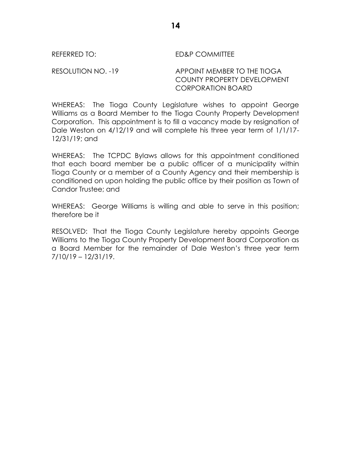REFERRED TO: ED&P COMMITTEE

RESOLUTION NO. -19 APPOINT MEMBER TO THE TIOGA COUNTY PROPERTY DEVELOPMENT CORPORATION BOARD

WHEREAS: The Tioga County Legislature wishes to appoint George Williams as a Board Member to the Tioga County Property Development Corporation. This appointment is to fill a vacancy made by resignation of Dale Weston on 4/12/19 and will complete his three year term of 1/1/17- 12/31/19; and

WHEREAS: The TCPDC Bylaws allows for this appointment conditioned that each board member be a public officer of a municipality within Tioga County or a member of a County Agency and their membership is conditioned on upon holding the public office by their position as Town of Candor Trustee; and

WHEREAS: George Williams is willing and able to serve in this position; therefore be it

RESOLVED: That the Tioga County Legislature hereby appoints George Williams to the Tioga County Property Development Board Corporation as a Board Member for the remainder of Dale Weston's three year term 7/10/19 – 12/31/19.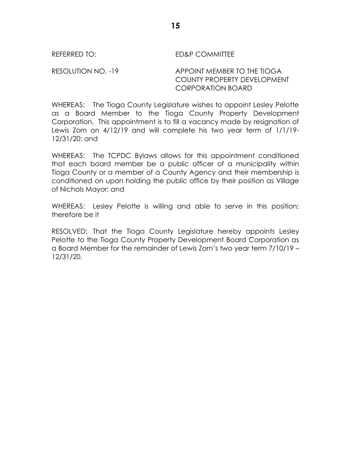REFERRED TO: ED&P COMMITTEE

RESOLUTION NO. -19 APPOINT MEMBER TO THE TIOGA COUNTY PROPERTY DEVELOPMENT CORPORATION BOARD

WHEREAS: The Tioga County Legislature wishes to appoint Lesley Pelotte as a Board Member to the Tioga County Property Development Corporation. This appointment is to fill a vacancy made by resignation of Lewis Zorn on 4/12/19 and will complete his two year term of 1/1/19- 12/31/20; and

WHEREAS: The TCPDC Bylaws allows for this appointment conditioned that each board member be a public officer of a municipality within Tioga County or a member of a County Agency and their membership is conditioned on upon holding the public office by their position as Village of Nichols Mayor; and

WHEREAS: Lesley Pelotte is willing and able to serve in this position; therefore be it

RESOLVED: That the Tioga County Legislature hereby appoints Lesley Pelotte to the Tioga County Property Development Board Corporation as a Board Member for the remainder of Lewis Zorn's two year term 7/10/19 – 12/31/20.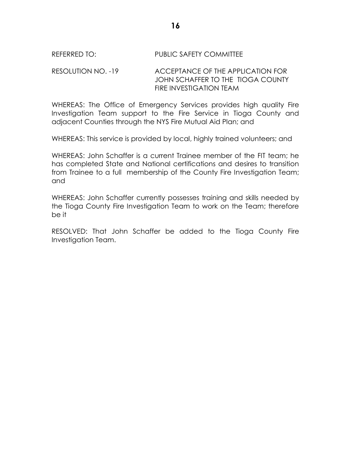## REFERRED TO: PUBLIC SAFETY COMMITTEE

RESOLUTION NO. -19 ACCEPTANCE OF THE APPLICATION FOR JOHN SCHAFFER TO THE TIOGA COUNTY FIRE INVESTIGATION TEAM

WHEREAS: The Office of Emergency Services provides high quality Fire Investigation Team support to the Fire Service in Tioga County and adjacent Counties through the NYS Fire Mutual Aid Plan; and

WHEREAS: This service is provided by local, highly trained volunteers; and

WHEREAS: John Schaffer is a current Trainee member of the FIT team; he has completed State and National certifications and desires to transition from Trainee to a full membership of the County Fire Investigation Team; and

WHEREAS: John Schaffer currently possesses training and skills needed by the Tioga County Fire Investigation Team to work on the Team; therefore be it

RESOLVED: That John Schaffer be added to the Tioga County Fire Investigation Team.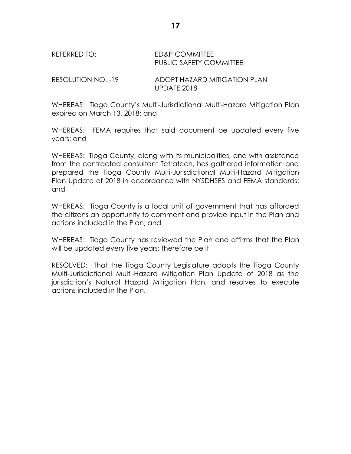# REFERRED TO: ED&P COMMITTEE PUBLIC SAFETY COMMITTEE

RESOLUTION NO. -19 ADOPT HAZARD MITIGATION PLAN UPDATE 2018

WHEREAS: Tioga County's Multi-Jurisdictional Multi-Hazard Mitigation Plan expired on March 13, 2018; and

WHEREAS: FEMA requires that said document be updated every five years; and

WHEREAS: Tioga County, along with its municipalities, and with assistance from the contracted consultant Tetratech, has gathered information and prepared the Tioga County Multi-Jurisdictional Multi-Hazard Mitigation Plan Update of 2018 in accordance with NYSDHSES and FEMA standards; and

WHEREAS: Tioga County is a local unit of government that has afforded the citizens an opportunity to comment and provide input in the Plan and actions included in the Plan; and

WHEREAS: Tioga County has reviewed the Plan and affirms that the Plan will be updated every five years; therefore be it

RESOLVED: That the Tioga County Legislature adopts the Tioga County Multi-Jurisdictional Multi-Hazard Mitigation Plan Update of 2018 as the jurisdiction's Natural Hazard Mitigation Plan, and resolves to execute actions included in the Plan.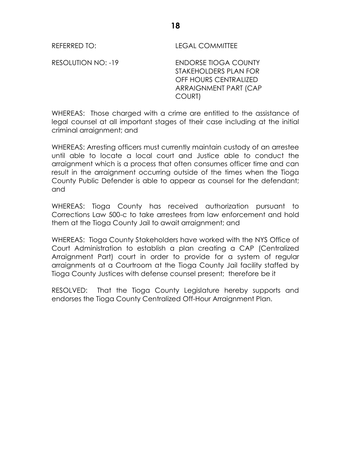REFERRED TO: LEGAL COMMITTEE

RESOLUTION NO: -19 ENDORSE TIOGA COUNTY STAKEHOLDERS PLAN FOR OFF HOURS CENTRALIZED ARRAIGNMENT PART (CAP COURT)

WHEREAS: Those charged with a crime are entitled to the assistance of legal counsel at all important stages of their case including at the initial criminal arraignment; and

WHEREAS: Arresting officers must currently maintain custody of an arrestee until able to locate a local court and Justice able to conduct the arraignment which is a process that often consumes officer time and can result in the arraignment occurring outside of the times when the Tioga County Public Defender is able to appear as counsel for the defendant; and

WHEREAS: Tioga County has received authorization pursuant to Corrections Law 500-c to take arrestees from law enforcement and hold them at the Tioga County Jail to await arraignment; and

WHEREAS: Tioga County Stakeholders have worked with the NYS Office of Court Administration to establish a plan creating a CAP (Centralized Arraignment Part) court in order to provide for a system of regular arraignments at a Courtroom at the Tioga County Jail facility staffed by Tioga County Justices with defense counsel present; therefore be it

RESOLVED: That the Tioga County Legislature hereby supports and endorses the Tioga County Centralized Off-Hour Arraignment Plan.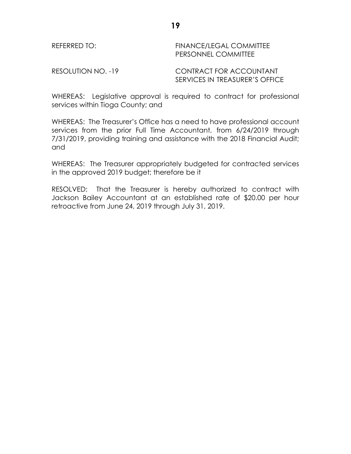### REFERRED TO: FINANCE/LEGAL COMMITTEE PERSONNEL COMMITTEE

### RESOLUTION NO. -19 CONTRACT FOR ACCOUNTANT SERVICES IN TREASURER'S OFFICE

WHEREAS: Legislative approval is required to contract for professional services within Tioga County; and

WHEREAS: The Treasurer's Office has a need to have professional account services from the prior Full Time Accountant, from 6/24/2019 through 7/31/2019, providing training and assistance with the 2018 Financial Audit; and

WHEREAS: The Treasurer appropriately budgeted for contracted services in the approved 2019 budget; therefore be it

RESOLVED: That the Treasurer is hereby authorized to contract with Jackson Bailey Accountant at an established rate of \$20.00 per hour retroactive from June 24, 2019 through July 31, 2019.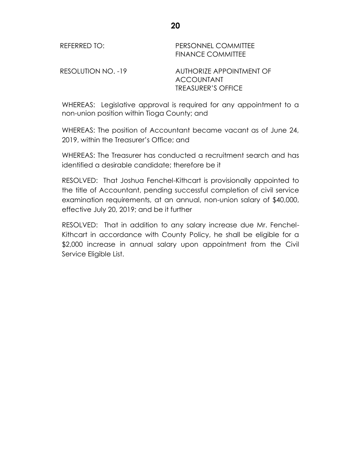REFERRED TO: PERSONNEL COMMITTEE FINANCE COMMITTEE

RESOLUTION NO. -19 AUTHORIZE APPOINTMENT OF ACCOUNTANT TREASURER'S OFFICE

WHEREAS: Legislative approval is required for any appointment to a non-union position within Tioga County; and

WHEREAS: The position of Accountant became vacant as of June 24, 2019, within the Treasurer's Office; and

WHEREAS: The Treasurer has conducted a recruitment search and has identified a desirable candidate; therefore be it

RESOLVED: That Joshua Fenchel-Kithcart is provisionally appointed to the title of Accountant, pending successful completion of civil service examination requirements, at an annual, non-union salary of \$40,000, effective July 20, 2019; and be it further

RESOLVED: That in addition to any salary increase due Mr. Fenchel-Kithcart in accordance with County Policy, he shall be eligible for a \$2,000 increase in annual salary upon appointment from the Civil Service Eligible List.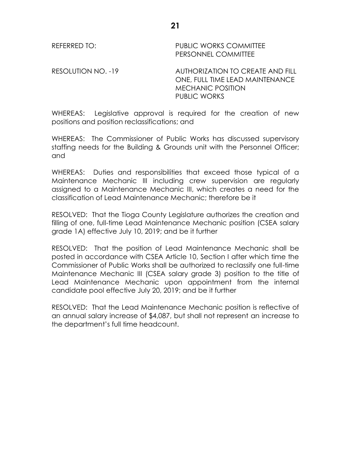REFERRED TO: PUBLIC WORKS COMMITTEE PERSONNEL COMMITTEE

RESOLUTION NO. -19 AUTHORIZATION TO CREATE AND FILL ONE, FULL TIME LEAD MAINTENANCE MECHANIC POSITION PUBLIC WORKS

WHEREAS: Legislative approval is required for the creation of new positions and position reclassifications; and

WHEREAS: The Commissioner of Public Works has discussed supervisory staffing needs for the Building & Grounds unit with the Personnel Officer; and

WHEREAS: Duties and responsibilities that exceed those typical of a Maintenance Mechanic III including crew supervision are regularly assigned to a Maintenance Mechanic III, which creates a need for the classification of Lead Maintenance Mechanic; therefore be it

RESOLVED: That the Tioga County Legislature authorizes the creation and filling of one, full-time Lead Maintenance Mechanic position (CSEA salary grade 1A) effective July 10, 2019; and be it further

RESOLVED: That the position of Lead Maintenance Mechanic shall be posted in accordance with CSEA Article 10, Section I after which time the Commissioner of Public Works shall be authorized to reclassify one full-time Maintenance Mechanic III (CSEA salary grade 3) position to the title of Lead Maintenance Mechanic upon appointment from the internal candidate pool effective July 20, 2019; and be it further

RESOLVED: That the Lead Maintenance Mechanic position is reflective of an annual salary increase of \$4,087, but shall not represent an increase to the department's full time headcount.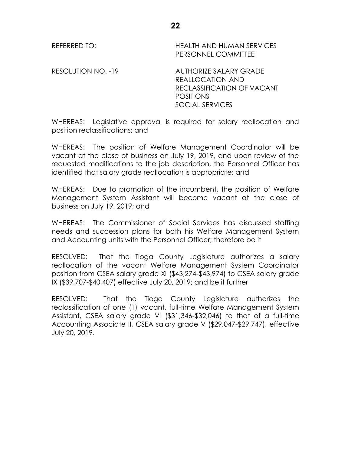REFERRED TO: HEALTH AND HUMAN SERVICES PERSONNEL COMMITTEE

RESOLUTION NO. -19 AUTHORIZE SALARY GRADE REALLOCATION AND RECLASSIFICATION OF VACANT **POSITIONS** SOCIAL SERVICES

WHEREAS: Legislative approval is required for salary reallocation and position reclassifications; and

WHEREAS: The position of Welfare Management Coordinator will be vacant at the close of business on July 19, 2019, and upon review of the requested modifications to the job description, the Personnel Officer has identified that salary grade reallocation is appropriate; and

WHEREAS: Due to promotion of the incumbent, the position of Welfare Management System Assistant will become vacant at the close of business on July 19, 2019; and

WHEREAS: The Commissioner of Social Services has discussed staffing needs and succession plans for both his Welfare Management System and Accounting units with the Personnel Officer; therefore be it

RESOLVED: That the Tioga County Legislature authorizes a salary reallocation of the vacant Welfare Management System Coordinator position from CSEA salary grade XI (\$43,274-\$43,974) to CSEA salary grade IX (\$39,707-\$40,407) effective July 20, 2019; and be it further

RESOLVED: That the Tioga County Legislature authorizes the reclassification of one (1) vacant, full-time Welfare Management System Assistant, CSEA salary grade VI (\$31,346-\$32,046) to that of a full-time Accounting Associate II, CSEA salary grade V (\$29,047-\$29,747), effective July 20, 2019.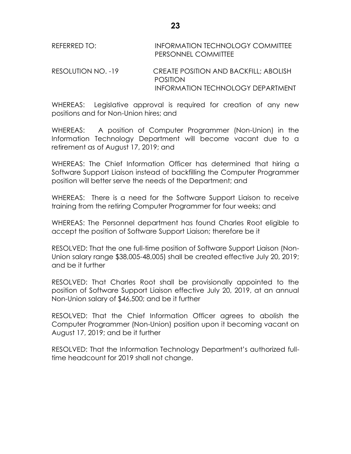REFERRED TO: INFORMATION TECHNOLOGY COMMITTEE PERSONNEL COMMITTEE

## RESOLUTION NO. -19 CREATE POSITION AND BACKFILL; ABOLISH POSITION INFORMATION TECHNOLOGY DEPARTMENT

WHEREAS: Legislative approval is required for creation of any new positions and for Non-Union hires; and

WHEREAS: A position of Computer Programmer (Non-Union) in the Information Technology Department will become vacant due to a retirement as of August 17, 2019; and

WHEREAS: The Chief Information Officer has determined that hiring a Software Support Liaison instead of backfilling the Computer Programmer position will better serve the needs of the Department; and

WHEREAS: There is a need for the Software Support Liaison to receive training from the retiring Computer Programmer for four weeks; and

WHEREAS: The Personnel department has found Charles Root eligible to accept the position of Software Support Liaison; therefore be it

RESOLVED: That the one full-time position of Software Support Liaison (Non-Union salary range \$38,005-48,005) shall be created effective July 20, 2019; and be it further

RESOLVED: That Charles Root shall be provisionally appointed to the position of Software Support Liaison effective July 20, 2019, at an annual Non-Union salary of \$46,500; and be it further

RESOLVED: That the Chief Information Officer agrees to abolish the Computer Programmer (Non-Union) position upon it becoming vacant on August 17, 2019; and be it further

RESOLVED: That the Information Technology Department's authorized fulltime headcount for 2019 shall not change.